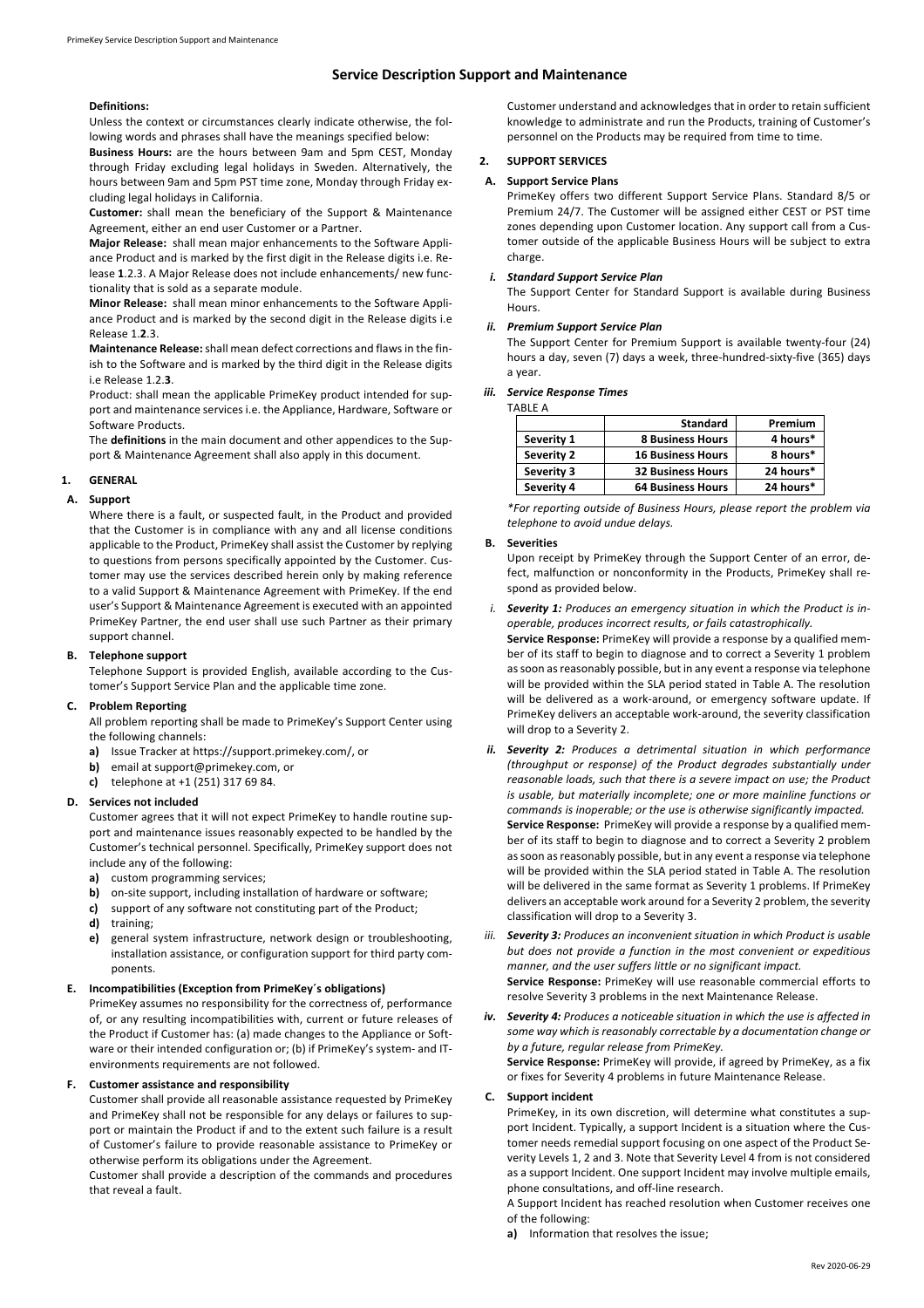# **Service Description Support and Maintenance**

#### **Definitions:**

Unless the context or circumstances clearly indicate otherwise, the following words and phrases shall have the meanings specified below:

**Business Hours:** are the hours between 9am and 5pm CEST, Monday through Friday excluding legal holidays in Sweden. Alternatively, the hours between 9am and 5pm PST time zone, Monday through Friday excluding legal holidays in California.

**Customer:** shall mean the beneficiary of the Support & Maintenance Agreement, either an end user Customer or a Partner.

**Major Release:** shall mean major enhancements to the Software Appliance Product and is marked by the first digit in the Release digits i.e. Release **1**.2.3. A Major Release does not include enhancements/ new functionality that is sold as a separate module.

**Minor Release:** shall mean minor enhancements to the Software Appliance Product and is marked by the second digit in the Release digits i.e Release 1.**2**.3.

**Maintenance Release:** shall mean defect corrections and flaws in the finish to the Software and is marked by the third digit in the Release digits i.e Release 1.2.**3**.

Product: shall mean the applicable PrimeKey product intended for support and maintenance services i.e. the Appliance, Hardware, Software or Software Products.

The **definitions** in the main document and other appendices to the Support & Maintenance Agreement shall also apply in this document.

## **1. GENERAL**

### **A. Support**

Where there is a fault, or suspected fault, in the Product and provided that the Customer is in compliance with any and all license conditions applicable to the Product, PrimeKey shall assist the Customer by replying to questions from persons specifically appointed by the Customer. Customer may use the services described herein only by making reference to a valid Support & Maintenance Agreement with PrimeKey. If the end user's Support & Maintenance Agreement is executed with an appointed PrimeKey Partner, the end user shall use such Partner as their primary support channel.

### **B. Telephone support**

Telephone Support is provided English, available according to the Customer's Support Service Plan and the applicable time zone.

# **C. Problem Reporting**

All problem reporting shall be made to PrimeKey's Support Center using the following channels:

- **a)** Issue Tracker at https://support.primekey.com/, or
- **b)** email at support@primekey.com, or
- **c)** telephone at +1 (251) 317 69 84.

### **D. Services not included**

Customer agrees that it will not expect PrimeKey to handle routine support and maintenance issues reasonably expected to be handled by the Customer's technical personnel. Specifically, PrimeKey support does not include any of the following:

- **a)** custom programming services;
- **b)** on-site support, including installation of hardware or software;
- **c)** support of any software not constituting part of the Product;
- **d)** training;
- **e)** general system infrastructure, network design or troubleshooting, installation assistance, or configuration support for third party components.

### **E. Incompatibilities (Exception from PrimeKey´s obligations)**

PrimeKey assumes no responsibility for the correctness of, performance of, or any resulting incompatibilities with, current or future releases of the Product if Customer has: (a) made changes to the Appliance or Software or their intended configuration or; (b) if PrimeKey's system- and ITenvironments requirements are not followed.

### **F. Customer assistance and responsibility**

Customer shall provide all reasonable assistance requested by PrimeKey and PrimeKey shall not be responsible for any delays or failures to support or maintain the Product if and to the extent such failure is a result of Customer's failure to provide reasonable assistance to PrimeKey or otherwise perform its obligations under the Agreement.

Customer shall provide a description of the commands and procedures that reveal a fault.

Customer understand and acknowledges that in order to retain sufficient knowledge to administrate and run the Products, training of Customer's personnel on the Products may be required from time to time.

# **2. SUPPORT SERVICES**

# **A. Support Service Plans**

PrimeKey offers two different Support Service Plans. Standard 8/5 or Premium 24/7. The Customer will be assigned either CEST or PST time zones depending upon Customer location. Any support call from a Customer outside of the applicable Business Hours will be subject to extra charge.

# *i. Standard Support Service Plan*

The Support Center for Standard Support is available during Business Hours.

#### **Premium Support Service Plan**

The Support Center for Premium Support is available twenty-four (24) hours a day, seven (7) days a week, three-hundred-sixty-five (365) days a year.

# *iii. Service Response Times*

TABLE A

|            | <b>Standard</b>          | Premium   |
|------------|--------------------------|-----------|
| Severity 1 | <b>8 Business Hours</b>  | 4 hours*  |
| Severity 2 | <b>16 Business Hours</b> | 8 hours*  |
| Severity 3 | <b>32 Business Hours</b> | 24 hours* |
| Severity 4 | <b>64 Business Hours</b> | 24 hours* |

*\*For reporting outside of Business Hours, please report the problem via telephone to avoid undue delays.*

#### **B. Severities**

Upon receipt by PrimeKey through the Support Center of an error, defect, malfunction or nonconformity in the Products, PrimeKey shall respond as provided below.

*i. Severity 1: Produces an emergency situation in which the Product is inoperable, produces incorrect results, or fails catastrophically.*

**Service Response:** PrimeKey will provide a response by a qualified member of its staff to begin to diagnose and to correct a Severity 1 problem as soon as reasonably possible, but in any event a response via telephone will be provided within the SLA period stated in Table A. The resolution will be delivered as a work-around, or emergency software update. If PrimeKey delivers an acceptable work-around, the severity classification will drop to a Severity 2.

- **Severity 2:** Produces a detrimental situation in which performance *(throughput or response) of the Product degrades substantially under reasonable loads, such that there is a severe impact on use; the Product is usable, but materially incomplete; one or more mainline functions or commands is inoperable; or the use is otherwise significantly impacted.* **Service Response:** PrimeKey will provide a response by a qualified member of its staff to begin to diagnose and to correct a Severity 2 problem as soon as reasonably possible, but in any event a response via telephone will be provided within the SLA period stated in Table A. The resolution will be delivered in the same format as Severity 1 problems. If PrimeKey delivers an acceptable work around for a Severity 2 problem, the severity classification will drop to a Severity 3.
- *iii. Severity 3: Produces an inconvenient situation in which Product is usable but does not provide a function in the most convenient or expeditious manner, and the user suffers little or no significant impact.* **Service Response:** PrimeKey will use reasonable commercial efforts to resolve Severity 3 problems in the next Maintenance Release.
- *iv. Severity 4: Produces a noticeable situation in which the use is affected in some way which is reasonably correctable by a documentation change or by a future, regular release from PrimeKey.* **Service Response:** PrimeKey will provide, if agreed by PrimeKey, as a fix or fixes for Severity 4 problems in future Maintenance Release.

## **C. Support incident**

PrimeKey, in its own discretion, will determine what constitutes a support Incident. Typically, a support Incident is a situation where the Customer needs remedial support focusing on one aspect of the Product Severity Levels 1, 2 and 3. Note that Severity Level 4 from is not considered as a support Incident. One support Incident may involve multiple emails, phone consultations, and off-line research.

A Support Incident has reached resolution when Customer receives one of the following:

**a)** Information that resolves the issue;